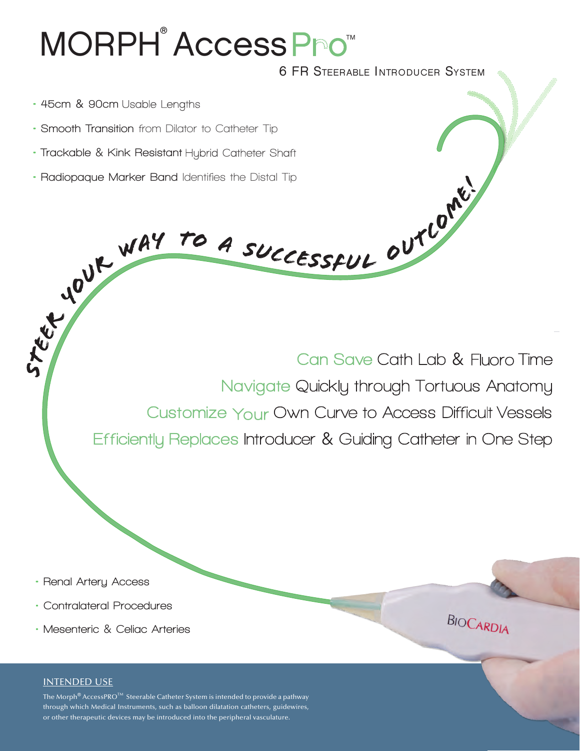# MORPH<sup>®</sup> Access Pro™

6 FR STEERABLE INTRODUCER SYSTEM

- • **45cm** & **90cm**
- • **Smooth Transition from Dilator to Catheter Tip**
- **Trackable** & **Kink Resistant**
- **Radiopaque Marker Band Identifies the Distal Tip**

Can Save Cath Lab & Fluoro Time Navigate Quickly through Tortuous Anatomy Customize Your Own Curve to Access Difficult Vessels Efficiently Replaces Introducer & Guiding Catheter in One Step

- • **Renal Artery Access**
- **• Contralateral Procedures**
- **• Mesenteric** & **Celiac Arteries**

## INTENDED USE

The Morph® AccessPRO<sup>™</sup> Steerable Catheter System is intended to provide a pathway through which Medical Instruments, such as balloon dilatation catheters, guidewires, or other therapeutic devices may be introduced into the peripheral vasculature.

**BIOCARDIA**